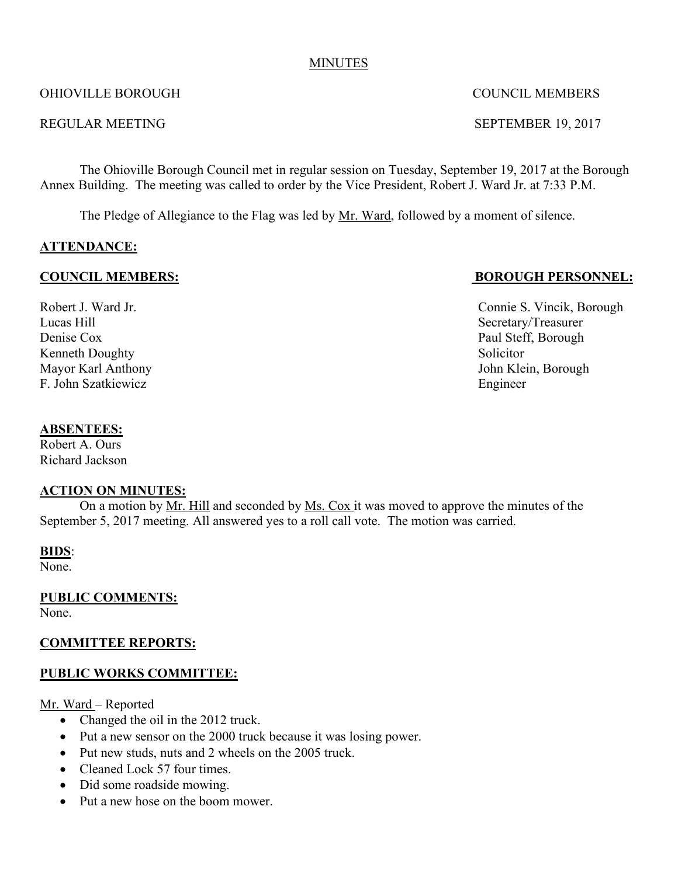#### MINUTES

#### OHIOVILLE BOROUGH COUNCIL MEMBERS

#### REGULAR MEETING SEPTEMBER 19, 2017

The Ohioville Borough Council met in regular session on Tuesday, September 19, 2017 at the Borough Annex Building. The meeting was called to order by the Vice President, Robert J. Ward Jr. at 7:33 P.M.

The Pledge of Allegiance to the Flag was led by Mr. Ward, followed by a moment of silence.

## **ATTENDANCE:**

#### **COUNCIL MEMBERS: BOROUGH PERSONNEL:**

Robert J. Ward Jr. **Connie S. Vincik, Borough** Lucas Hill<br>
Denise Cox<br>
2003 - Paul Steff, Borough<br>
2004 - Paul Steff, Borough Kenneth Doughty Solicitor F. John Szatkiewicz Engineer

Paul Steff, Borough Mayor Karl Anthony John Klein, Borough

#### **ABSENTEES:**

Robert A. Ours Richard Jackson

#### **ACTION ON MINUTES:**

On a motion by Mr. Hill and seconded by Ms. Cox it was moved to approve the minutes of the September 5, 2017 meeting. All answered yes to a roll call vote. The motion was carried.

#### **BIDS**:

None.

**PUBLIC COMMENTS:** None.

## **COMMITTEE REPORTS:**

## **PUBLIC WORKS COMMITTEE:**

Mr. Ward – Reported

- Changed the oil in the 2012 truck.
- Put a new sensor on the 2000 truck because it was losing power.
- Put new studs, nuts and 2 wheels on the 2005 truck.
- Cleaned Lock 57 four times.
- Did some roadside mowing.
- Put a new hose on the boom mower.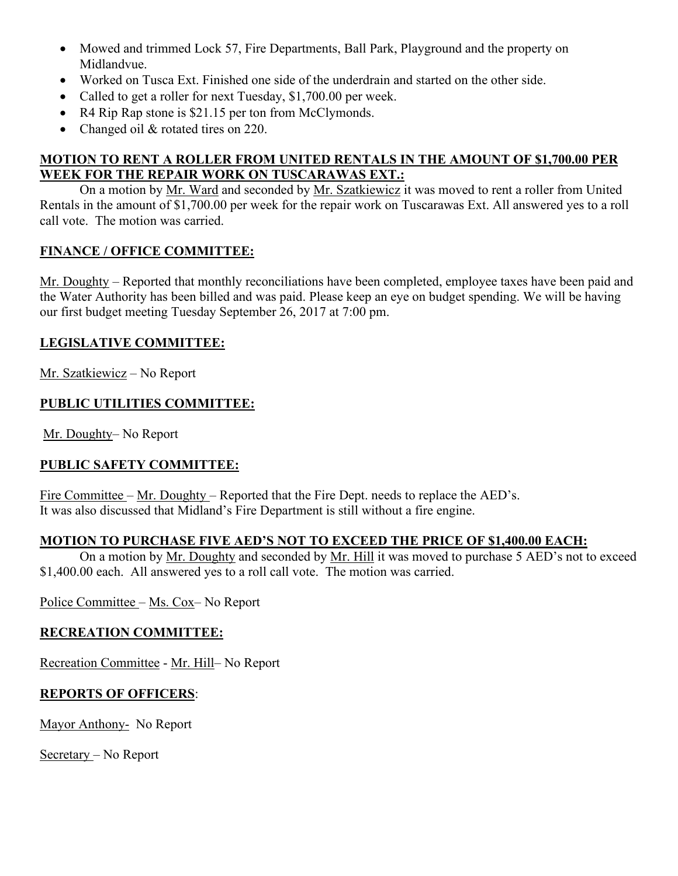- Mowed and trimmed Lock 57, Fire Departments, Ball Park, Playground and the property on Midlandvue.
- Worked on Tusca Ext. Finished one side of the underdrain and started on the other side.
- Called to get a roller for next Tuesday, \$1,700.00 per week.
- R4 Rip Rap stone is \$21.15 per ton from McClymonds.
- Changed oil & rotated tires on 220.

# **MOTION TO RENT A ROLLER FROM UNITED RENTALS IN THE AMOUNT OF \$1,700.00 PER WEEK FOR THE REPAIR WORK ON TUSCARAWAS EXT.:**

On a motion by Mr. Ward and seconded by Mr. Szatkiewicz it was moved to rent a roller from United Rentals in the amount of \$1,700.00 per week for the repair work on Tuscarawas Ext. All answered yes to a roll call vote. The motion was carried.

## **FINANCE / OFFICE COMMITTEE:**

Mr. Doughty – Reported that monthly reconciliations have been completed, employee taxes have been paid and the Water Authority has been billed and was paid. Please keep an eye on budget spending. We will be having our first budget meeting Tuesday September 26, 2017 at 7:00 pm.

## **LEGISLATIVE COMMITTEE:**

Mr. Szatkiewicz – No Report

## **PUBLIC UTILITIES COMMITTEE:**

Mr. Doughty– No Report

# **PUBLIC SAFETY COMMITTEE:**

Fire Committee – Mr. Doughty – Reported that the Fire Dept. needs to replace the AED's. It was also discussed that Midland's Fire Department is still without a fire engine.

## **MOTION TO PURCHASE FIVE AED'S NOT TO EXCEED THE PRICE OF \$1,400.00 EACH:**

On a motion by Mr. Doughty and seconded by Mr. Hill it was moved to purchase 5 AED's not to exceed \$1,400.00 each. All answered yes to a roll call vote. The motion was carried.

Police Committee – Ms. Cox– No Report

## **RECREATION COMMITTEE:**

Recreation Committee - Mr. Hill– No Report

## **REPORTS OF OFFICERS**:

Mayor Anthony- No Report

Secretary – No Report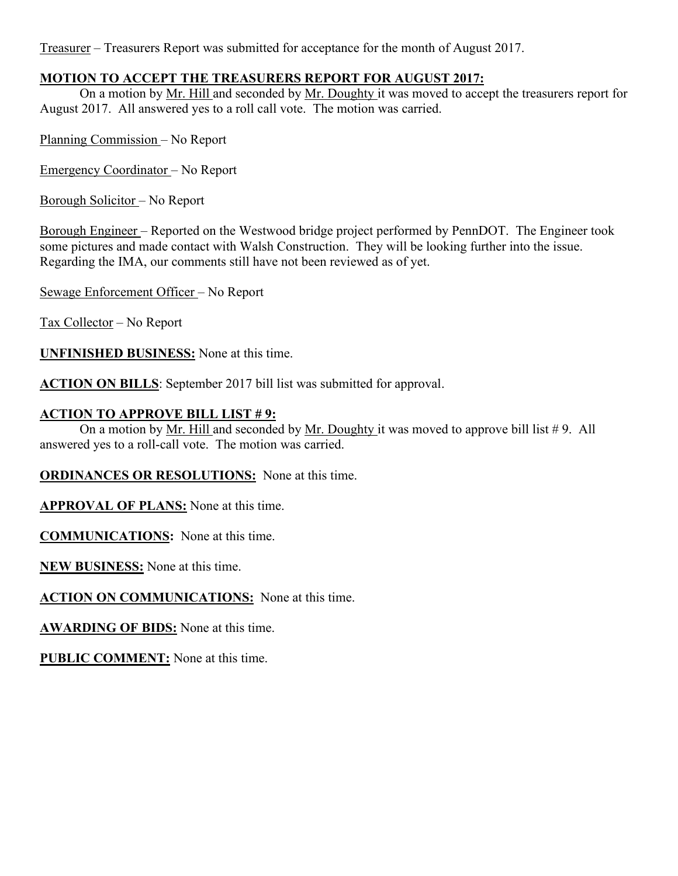Treasurer – Treasurers Report was submitted for acceptance for the month of August 2017.

## **MOTION TO ACCEPT THE TREASURERS REPORT FOR AUGUST 2017:**

On a motion by Mr. Hill and seconded by Mr. Doughty it was moved to accept the treasurers report for August 2017. All answered yes to a roll call vote. The motion was carried.

Planning Commission – No Report

Emergency Coordinator – No Report

Borough Solicitor – No Report

Borough Engineer – Reported on the Westwood bridge project performed by PennDOT. The Engineer took some pictures and made contact with Walsh Construction. They will be looking further into the issue. Regarding the IMA, our comments still have not been reviewed as of yet.

Sewage Enforcement Officer – No Report

Tax Collector – No Report

**UNFINISHED BUSINESS:** None at this time.

**ACTION ON BILLS**: September 2017 bill list was submitted for approval.

## **ACTION TO APPROVE BILL LIST # 9:**

On a motion by Mr. Hill and seconded by Mr. Doughty it was moved to approve bill list  $# 9$ . All answered yes to a roll-call vote. The motion was carried.

**ORDINANCES OR RESOLUTIONS:** None at this time.

**APPROVAL OF PLANS:** None at this time.

**COMMUNICATIONS:** None at this time.

**NEW BUSINESS:** None at this time.

**ACTION ON COMMUNICATIONS:** None at this time.

**AWARDING OF BIDS:** None at this time.

**PUBLIC COMMENT:** None at this time.